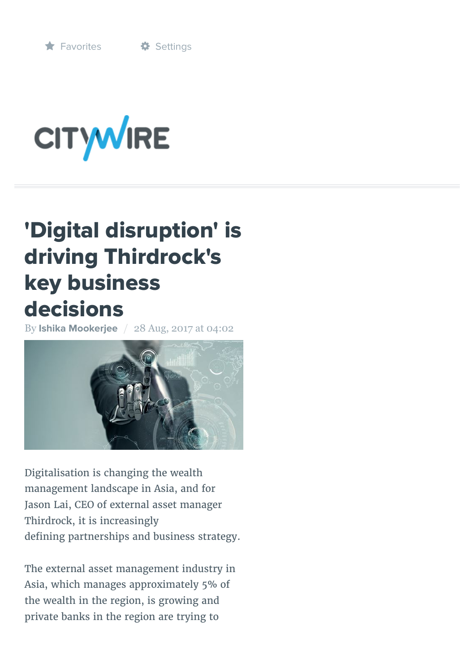

# **CITYWIRE**

# 'Digital disruption' is driving Thirdrock's key business decisions

By **[Ishika Mookerjee](http://citywireasia.com/author/imookerje)** / 28 Aug, 2017 at 04:02



Digitalisation is changing the wealth management landscape in Asia, and for Jason Lai, CEO of external asset manager Thirdrock, it is increasingly defining partnerships and business strategy.

The external asset management industry in Asia, which manages approximately 5% of the wealth in the region, is growing and private banks in the region are trying to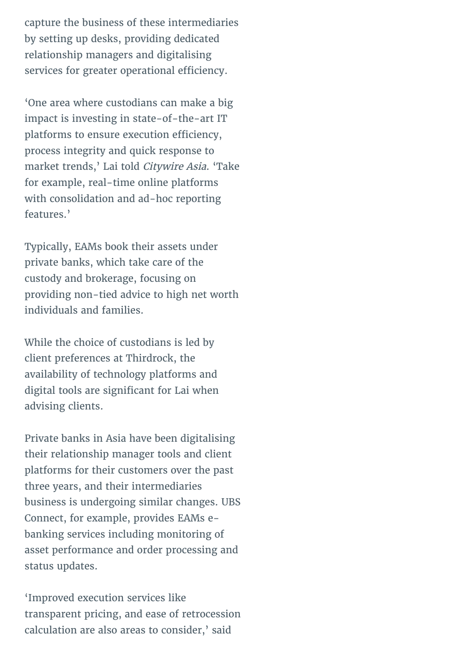capture the business of these intermediaries by setting up desks, providing dedicated relationship managers and digitalising services for greater operational efficiency.

'One area where custodians can make a big impact is investing in state-of-the-art IT platforms to ensure execution efficiency, process integrity and quick response to market trends,' Lai told Citywire Asia. 'Take for example, real-time online platforms with consolidation and ad-hoc reporting features.'

Typically, EAMs book their assets under private banks, which take care of the custody and brokerage, focusing on providing non-tied advice to high net worth individuals and families.

While the choice of custodians is led by client preferences at Thirdrock, the availability of technology platforms and digital tools are significant for Lai when advising clients.

Private banks in Asia have been digitalising their relationship manager tools and client platforms for their customers over the past three years, and their intermediaries business is undergoing similar changes. UBS Connect, for example, provides EAMs ebanking services including monitoring of asset performance and order processing and status updates.

'Improved execution services like transparent pricing, and ease of retrocession calculation are also areas to consider,' said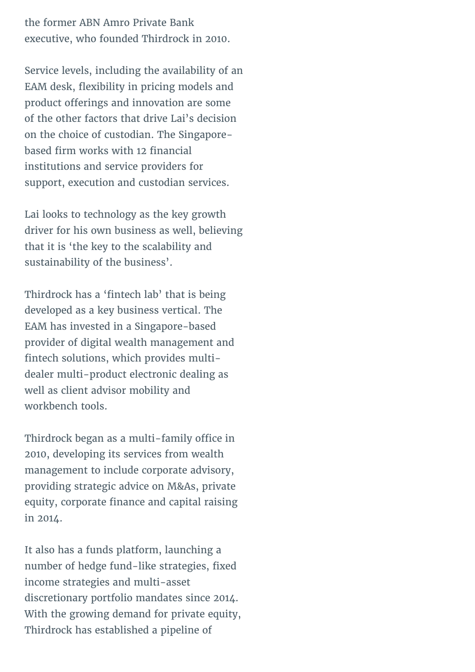the former ABN Amro Private Bank executive, who founded Thirdrock in 2010.

Service levels, including the availability of an EAM desk, flexibility in pricing models and product offerings and innovation are some of the other factors that drive Lai's decision on the choice of custodian. The Singaporebased firm works with 12 financial institutions and service providers for support, execution and custodian services.

Lai looks to technology as the key growth driver for his own business as well, believing that it is 'the key to the scalability and sustainability of the business'.

Thirdrock has a 'fintech lab' that is being developed as a key business vertical. The EAM has invested in a Singapore-based provider of digital wealth management and fintech solutions, which provides multidealer multi-product electronic dealing as well as client advisor mobility and workbench tools.

Thirdrock began as a multi-family office in 2010, developing its services from wealth management to include corporate advisory, providing strategic advice on M&As, private equity, corporate finance and capital raising in 2014.

It also has a funds platform, launching a number of hedge fund-like strategies, fixed income strategies and multi-asset discretionary portfolio mandates since 2014. With the growing demand for private equity, Thirdrock has established a pipeline of